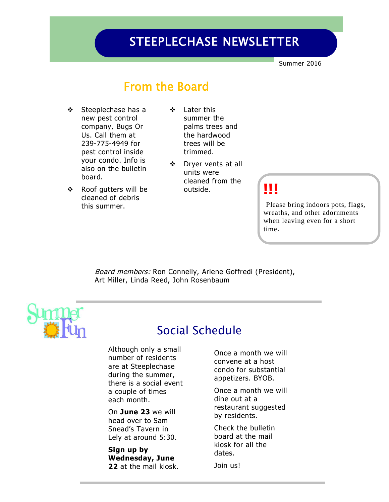# STEEPLECHASE NEWSLETTER

Summer 2016

### From the Board

- Steeplechase has a new pest control company, Bugs Or Us. Call them at 239-775-4949 for pest control inside your condo. Info is also on the bulletin board.
- ❖ Roof gutters will be cleaned of debris this summer.
- Later this summer the palms trees and the hardwood trees will be trimmed.
- Dryer vents at all units were cleaned from the outside.

### **!!!**

Please bring indoors pots, flags, wreaths, and other adornments when leaving even for a short time.

Board members: Ron Connelly, Arlene Goffredi (President), Art Miller, Linda Reed, John Rosenbaum



### Social Schedule

Although only a small number of residents are at Steeplechase during the summer, there is a social event a couple of times each month.

On **June 23** we will head over to Sam Snead's Tavern in Lely at around 5:30.

**Sign up by Wednesday, June 22** at the mail kiosk. Once a month we will convene at a host condo for substantial appetizers. BYOB.

Once a month we will dine out at a restaurant suggested by residents.

Check the bulletin board at the mail kiosk for all the dates.

Join us!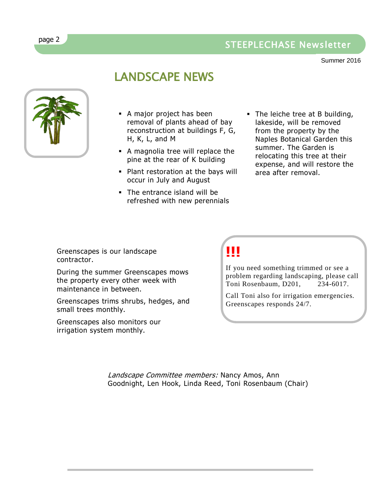### STEEPLECHASE Newsletter

Summer 2016

### LANDSCAPE NEWS



- A major project has been removal of plants ahead of bay reconstruction at buildings F, G, H, K, L, and M
- A magnolia tree will replace the pine at the rear of K building
- Plant restoration at the bays will occur in July and August
- The entrance island will be refreshed with new perennials
- The leiche tree at B building, lakeside, will be removed from the property by the Naples Botanical Garden this summer. The Garden is relocating this tree at their expense, and will restore the area after removal.

Greenscapes is our landscape contractor.

During the summer Greenscapes mows the property every other week with maintenance in between.

Greenscapes trims shrubs, hedges, and small trees monthly.

Greenscapes also monitors our irrigation system monthly.

## **!!!**

If you need something trimmed or see a problem regarding landscaping, please call Toni Rosenbaum, D201, 234-6017.

Call Toni also for irrigation emergencies. Greenscapes responds 24/7.

Landscape Committee members: Nancy Amos, Ann Goodnight, Len Hook, Linda Reed, Toni Rosenbaum (Chair)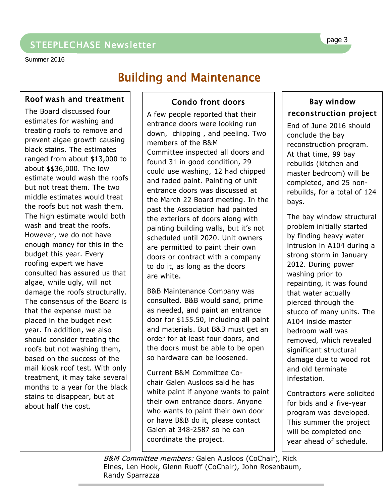Summer 2016

# Building and Maintenance

#### Roof wash and treatment

The Board discussed four estimates for washing and treating roofs to remove and prevent algae growth causing black stains. The estimates ranged from about \$13,000 to about \$\$36,000. The low estimate would wash the roofs but not treat them. The two middle estimates would treat the roofs but not wash them. The high estimate would both wash and treat the roofs. However, we do not have enough money for this in the budget this year. Every roofing expert we have consulted has assured us that algae, while ugly, will not damage the roofs structurally. The consensus of the Board is that the expense must be placed in the budget next year. In addition, we also should consider treating the roofs but not washing them, based on the success of the mail kiosk roof test. With only treatment, it may take several months to a year for the black stains to disappear, but at about half the cost.

#### Condo front doors

A few people reported that their entrance doors were looking run down, chipping , and peeling. Two members of the B&M Committee inspected all doors and found 31 in good condition, 29 could use washing, 12 had chipped and faded paint. Painting of unit entrance doors was discussed at the March 22 Board meeting. In the past the Association had painted the exteriors of doors along with painting building walls, but it's not scheduled until 2020. Unit owners are permitted to paint their own doors or contract with a company to do it, as long as the doors are white.

B&B Maintenance Company was consulted. B&B would sand, prime as needed, and paint an entrance door for \$155.50, including all paint and materials. But B&B must get an order for at least four doors, and the doors must be able to be open so hardware can be loosened.

Current B&M Committee Cochair Galen Ausloos said he has white paint if anyone wants to paint their own entrance doors. Anyone who wants to paint their own door or have B&B do it, please contact Galen at 348-2587 so he can coordinate the project.

#### Bay window reconstruction project

End of June 2016 should conclude the bay reconstruction program. At that time, 99 bay rebuilds (kitchen and master bedroom) will be completed, and 25 nonrebuilds, for a total of 124 bays.

The bay window structural problem initially started by finding heavy water intrusion in A104 during a strong storm in January 2012. During power washing prior to repainting, it was found that water actually pierced through the stucco of many units. The A104 inside master bedroom wall was removed, which revealed significant structural damage due to wood rot and old terminate infestation.

Contractors were solicited for bids and a five-year program was developed. This summer the project will be completed one year ahead of schedule.

B&M Committee members: Galen Ausloos (CoChair), Rick Elnes, Len Hook, Glenn Ruoff (CoChair), John Rosenbaum, Randy Sparrazza